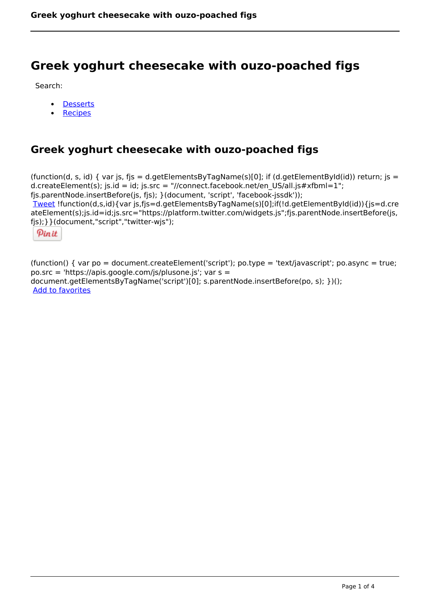# **Greek yoghurt cheesecake with ouzo-poached figs**

Search:

- **[Desserts](https://www.naturalhealthmag.com.au/nourish/desserts)**  $\bullet$
- **[Recipes](https://www.naturalhealthmag.com.au/nourish/recipes)**

## **Greek yoghurt cheesecake with ouzo-poached figs**

(function(d, s, id) { var js, fjs = d.getElementsByTagName(s)[0]; if (d.getElementById(id)) return; js = d.createElement(s); js.id = id; js.src = "//connect.facebook.net/en\_US/all.js#xfbml=1"; fjs.parentNode.insertBefore(js, fjs); }(document, 'script', 'facebook-jssdk')); [Tweet](https://twitter.com/share) !function(d,s,id){var js,fjs=d.getElementsByTagName(s)[0];if(!d.getElementById(id)){js=d.cre ateElement(s);js.id=id;js.src="https://platform.twitter.com/widgets.js";fjs.parentNode.insertBefore(js, fjs);}}(document,"script","twitter-wjs");

Pinit

(function() { var po = document.createElement('script'); po.type = 'text/javascript'; po.async = true; po.src = 'https://apis.google.com/js/plusone.js'; var s = document.getElementsByTagName('script')[0]; s.parentNode.insertBefore(po, s); })(); Add to favorites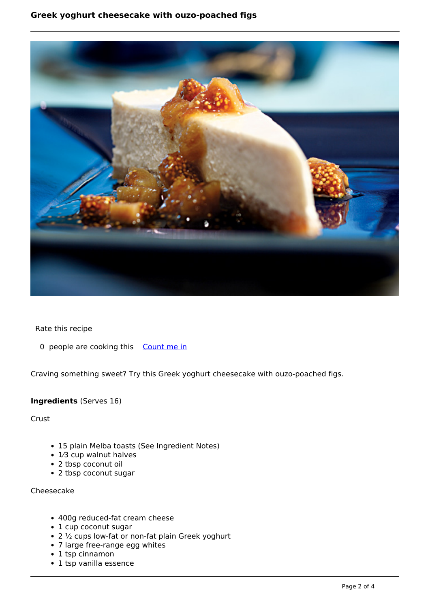### **Greek yoghurt cheesecake 
with ouzo-poached figs**



Rate this recipe

0 people are cooking this [Count me in](https://www.naturalhealthmag.com.au/flag/flag/favorites/1079?destination=printpdf%2F1079&token=692214c31a70ed9d0ba2353794db415a)

Craving something sweet? Try this Greek yoghurt cheesecake with ouzo-poached figs.

#### **Ingredients** (Serves 16)

**Crust** 

- 15 plain Melba toasts (See Ingredient Notes)
- 1⁄3 cup walnut halves
- 2 tbsp coconut oil
- 2 tbsp coconut sugar

Cheesecake

- 400g reduced-fat cream cheese
- 1 cup coconut sugar
- 2 ½ cups low-fat or non-fat plain Greek yoghurt
- 7 large free-range egg whites
- 1 tsp cinnamon
- 1 tsp vanilla essence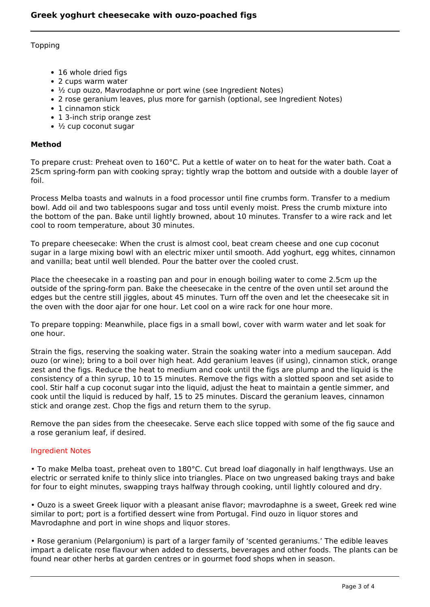#### Topping

- 16 whole dried figs
- 2 cups warm water
- $\frac{1}{2}$  cup ouzo, Mavrodaphne or port wine (see Ingredient Notes)
- 2 rose geranium leaves, plus more for garnish (optional, see Ingredient Notes)
- 1 cinnamon stick
- 1 3-inch strip orange zest
- $\cdot$   $\frac{1}{2}$  cup coconut sugar

#### **Method**

To prepare crust: Preheat oven to 160°C. Put a kettle of water on to heat for the water bath. Coat a 25cm spring-form pan with cooking spray; tightly wrap the bottom and outside with a double layer of foil.

Process Melba toasts and walnuts in a food processor until fine crumbs form. Transfer to a medium bowl. Add oil and two tablespoons sugar and toss until evenly moist. Press the crumb mixture into the bottom of the pan. Bake until lightly browned, about 10 minutes. Transfer to a wire rack and let cool to room temperature, about 30 minutes.

To prepare cheesecake: When the crust is almost cool, beat cream cheese and one cup coconut sugar in a large mixing bowl with an electric mixer until smooth. Add yoghurt, egg whites, cinnamon and vanilla; beat until well blended. Pour the batter over the cooled crust.

Place the cheesecake in a roasting pan and pour in enough boiling water to come 2.5cm up the outside of the spring-form pan. Bake the cheesecake in the centre of the oven until set around the edges but the centre still jiggles, about 45 minutes. Turn off the oven and let the cheesecake sit in the oven with the door ajar for one hour. Let cool on a wire rack for one hour more.

To prepare topping: Meanwhile, place figs in a small bowl, cover with warm water and let soak for one hour.

Strain the figs, reserving the soaking water. Strain the soaking water into a medium saucepan. Add ouzo (or wine); bring to a boil over high heat. Add geranium leaves (if using), cinnamon stick, orange zest and the figs. Reduce the heat to medium and cook until the figs are plump and the liquid is the consistency of a thin syrup, 10 to 15 minutes. Remove the figs with a slotted spoon and set aside to cool. Stir half a cup coconut sugar into the liquid, adjust the heat to maintain a gentle simmer, and cook until the liquid is reduced by half, 15 to 25 minutes. Discard the geranium leaves, cinnamon stick and orange zest. Chop the figs and return them to the syrup.

Remove the pan sides from the cheesecake. Serve each slice topped with some of the fig sauce and a rose geranium leaf, if desired.

#### Ingredient Notes

• To make Melba toast, preheat oven to 180°C. Cut bread loaf diagonally in half lengthways. Use an electric or serrated knife to thinly slice into triangles. Place on two ungreased baking trays and bake for four to eight minutes, swapping trays halfway through cooking, until lightly coloured and dry.

• Ouzo is a sweet Greek liquor with a pleasant anise flavor; mavrodaphne is a sweet, Greek red wine similar to port; port is a fortified dessert wine from Portugal. Find ouzo in liquor stores and Mavrodaphne and port in wine shops and liquor stores.

• Rose geranium (Pelargonium) is part of a larger family of 'scented geraniums.' The edible leaves impart a delicate rose flavour when added to desserts, beverages and other foods. The plants can be found near other herbs at garden centres or in gourmet food shops when in season.